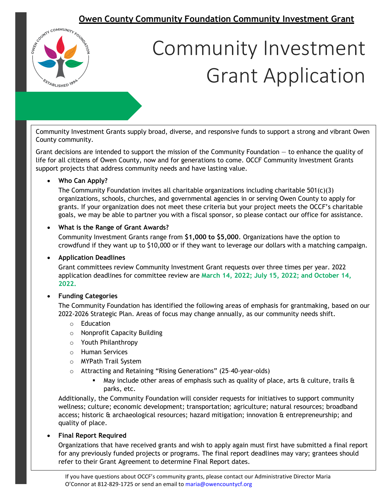

Community Investment Grants supply broad, diverse, and responsive funds to support a strong and vibrant Owen County community.

Grant decisions are intended to support the mission of the Community Foundation — to enhance the quality of life for all citizens of Owen County, now and for generations to come. OCCF Community Investment Grants support projects that address community needs and have lasting value.

#### • **Who Can Apply?**

The Community Foundation invites all charitable organizations including charitable 501(c)(3) organizations, schools, churches, and governmental agencies in or serving Owen County to apply for grants. If your organization does not meet these criteria but your project meets the OCCF's charitable goals, we may be able to partner you with a fiscal sponsor, so please contact our office for assistance.

#### • **What is the Range of Grant Awards?**

Community Investment Grants range from **\$1,000 to \$5,000**. Organizations have the option to crowdfund if they want up to \$10,000 or if they want to leverage our dollars with a matching campaign.

#### • **Application Deadlines**

Grant committees review Community Investment Grant requests over three times per year. 2022 application deadlines for committee review are **March 14, 2022; July 15, 2022; and October 14, 2022.** 

#### • **Funding Categories**

The Community Foundation has identified the following areas of emphasis for grantmaking, based on our 2022-2026 Strategic Plan. Areas of focus may change annually, as our community needs shift.

- o Education
- o Nonprofit Capacity Building
- o Youth Philanthropy
- o Human Services
- o MYPath Trail System
- o Attracting and Retaining "Rising Generations" (25–40-year-olds)
	- May include other areas of emphasis such as quality of place, arts  $\alpha$  culture, trails  $\alpha$ parks, etc.

Additionally, the Community Foundation will consider requests for initiatives to support community wellness; culture; economic development; transportation; agriculture; natural resources; broadband access; historic & archaeological resources; hazard mitigation; innovation & entrepreneurship; and quality of place.

#### • **Final Report Required**

Organizations that have received grants and wish to apply again must first have submitted a final report for any previously funded projects or programs. The final report deadlines may vary; grantees should refer to their Grant Agreement to determine Final Report dates.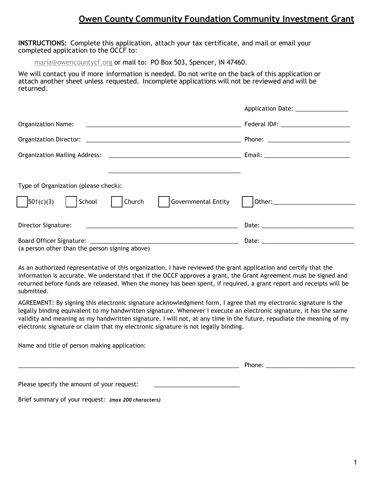**INSTRUCTIONS:** Complete this application, attach your tax certificate, and mail or email your completed application to the OCCF to:

maria@owencountycf.org or mail to: PO Box 503, Spencer, IN 47460.

We will contact you if more information is needed. Do not write on the back of this application or attach another sheet unless requested. Incomplete applications will not be reviewed and will be returned.

|                                                       | Application Date: _______________ |
|-------------------------------------------------------|-----------------------------------|
|                                                       |                                   |
|                                                       |                                   |
|                                                       |                                   |
|                                                       |                                   |
| Type of Organization (please check):                  |                                   |
| 501(c)(3) <br>Governmental Entity<br>School<br>Church |                                   |
| Director Signature:                                   |                                   |
| (a person other than the person signing above)        |                                   |

As an authorized representative of this organization, I have reviewed the grant application and certify that the information is accurate. We understand that if the OCCF approves a grant, the Grant Agreement must be signed and returned before funds are released. When the money has been spent, if required, a grant report and receipts will be submitted.

AGREEMENT: By signing this electronic signature acknowledgment form, I agree that my electronic signature is the legally binding equivalent to my handwritten signature. Whenever I execute an electronic signature, it has the same validity and meaning as my handwritten signature. I will not, at any time in the future, repudiate the meaning of my electronic signature or claim that my electronic signature is not legally binding.

Name and title of person making application:

|                                                     | Phone: |  |
|-----------------------------------------------------|--------|--|
| Please specify the amount of your request:          |        |  |
| Brief summary of your request: (max 200 characters) |        |  |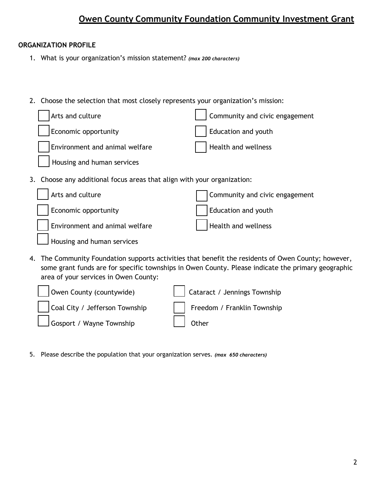#### **ORGANIZATION PROFILE**

- 1. What is your organization's mission statement? *(max 200 characters)*
- 2. Choose the selection that most closely represents your organization's mission:

| Arts and culture                                                        | Community and civic engagement                                                                              |
|-------------------------------------------------------------------------|-------------------------------------------------------------------------------------------------------------|
| Economic opportunity                                                    | Education and youth                                                                                         |
| Environment and animal welfare                                          | <b>Health and wellness</b>                                                                                  |
| Housing and human services                                              |                                                                                                             |
| 3. Choose any additional focus areas that align with your organization: |                                                                                                             |
| Arts and culture                                                        | Community and civic engagement                                                                              |
| Economic opportunity                                                    | Education and youth                                                                                         |
| Environment and animal welfare                                          | Health and wellness                                                                                         |
| Housing and human services                                              |                                                                                                             |
|                                                                         | The $\epsilon$ -commutes Formulation community attaining the bounding to a state of $\Delta$ and $\epsilon$ |

4. The Community Foundation supports activities that benefit the residents of Owen County; however, some grant funds are for specific townships in Owen County. Please indicate the primary geographic area of your services in Owen County:

| Owen County (countywide)       | Cataract / Jennings Township                            |
|--------------------------------|---------------------------------------------------------|
| Coal City / Jefferson Township | Freedom / Franklin Township                             |
| Gosport / Wayne Township       | $\begin{array}{ c c c c c }\n\hline\n\end{array}$ Other |

5. Please describe the population that your organization serves. *(max 650 characters)*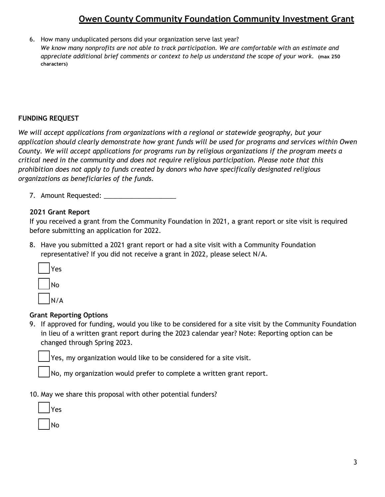6. How many unduplicated persons did your organization serve last year? *We know many nonprofits are not able to track participation. We are comfortable with an estimate and appreciate additional brief comments or context to help us understand the scope of your work.* **(max 250 characters)**

#### **FUNDING REQUEST**

*We will accept applications from organizations with a regional or statewide geography, but your application should clearly demonstrate how grant funds will be used for programs and services within Owen County. We will accept applications for programs run by religious organizations if the program meets a critical need in the community and does not require religious participation. Please note that this prohibition does not apply to funds created by donors who have specifically designated religious organizations as beneficiaries of the funds.*

7. Amount Requested: \_\_\_\_\_\_\_\_\_\_\_\_\_\_\_\_\_\_\_\_

#### **2021 Grant Report**

If you received a grant from the Community Foundation in 2021, a grant report or site visit is required before submitting an application for 2022.

8. Have you submitted a 2021 grant report or had a site visit with a Community Foundation representative? If you did not receive a grant in 2022, please select N/A.

| Yes |
|-----|
| No  |
| N/A |

#### **Grant Reporting Options**

9. If approved for funding, would you like to be considered for a site visit by the Community Foundation in lieu of a written grant report during the 2023 calendar year? Note: Reporting option can be changed through Spring 2023.

☐ Yes, my organization would like to be considered for a site visit.

No, my organization would prefer to complete a written grant report.

10. May we share this proposal with other potential funders?

| Yes |
|-----|
| No  |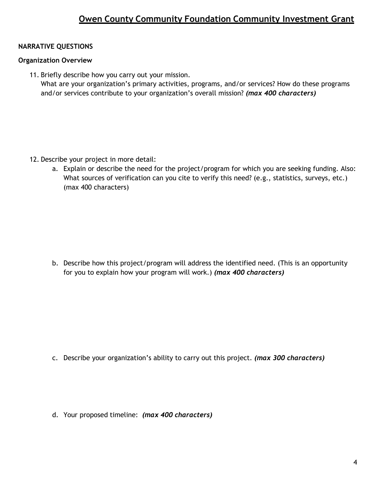#### **NARRATIVE QUESTIONS**

#### **Organization Overview**

11. Briefly describe how you carry out your mission. What are your organization's primary activities, programs, and/or services? How do these programs and/or services contribute to your organization's overall mission? *(max 400 characters)*

- 12. Describe your project in more detail:
	- a. Explain or describe the need for the project/program for which you are seeking funding. Also: What sources of verification can you cite to verify this need? (e.g., statistics, surveys, etc.) (max 400 characters)

b. Describe how this project/program will address the identified need. (This is an opportunity for you to explain how your program will work.) *(max 400 characters)*

- c. Describe your organization's ability to carry out this project. *(max 300 characters)*
- d. Your proposed timeline: *(max 400 characters)*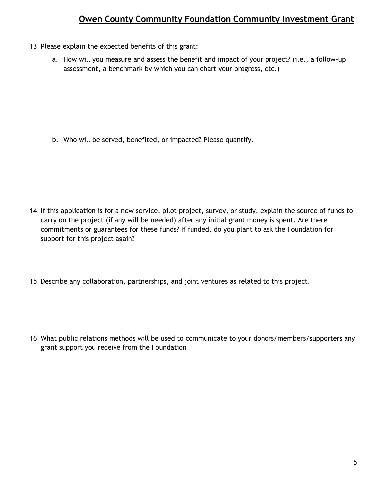- 13. Please explain the expected benefits of this grant:
	- a. How will you measure and assess the benefit and impact of your project? (i.e., a follow-up assessment, a benchmark by which you can chart your progress, etc.)

b. Who will be served, benefited, or impacted? Please quantify.

- 14. If this application is for a new service, pilot project, survey, or study, explain the source of funds to carry on the project (if any will be needed) after any initial grant money is spent. Are there commitments or guarantees for these funds? If funded, do you plant to ask the Foundation for support for this project again?
- 15. Describe any collaboration, partnerships, and joint ventures as related to this project.
- 16. What public relations methods will be used to communicate to your donors/members/supporters any grant support you receive from the Foundation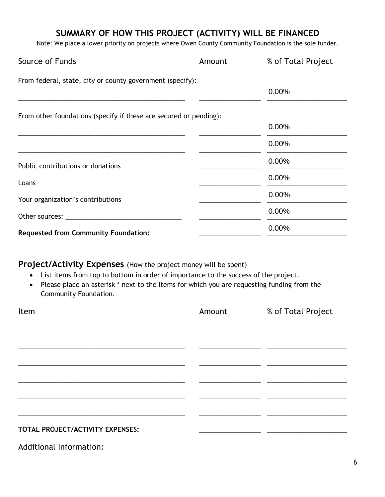## **SUMMARY OF HOW THIS PROJECT (ACTIVITY) WILL BE FINANCED**

Note: We place a lower priority on projects where Owen County Community Foundation is the sole funder.

| Source of Funds                                                   | Amount | % of Total Project |
|-------------------------------------------------------------------|--------|--------------------|
| From federal, state, city or county government (specify):         |        |                    |
|                                                                   |        | 0.00%              |
| From other foundations (specify if these are secured or pending): |        |                    |
|                                                                   |        | 0.00%              |
|                                                                   |        | 0.00%              |
| Public contributions or donations                                 |        | 0.00%              |
| Loans                                                             |        | 0.00%              |
| Your organization's contributions                                 |        | 0.00%              |
|                                                                   |        | 0.00%              |
| <b>Requested from Community Foundation:</b>                       |        | 0.00%              |

### **Project/Activity Expenses** (How the project money will be spent)

- List items from top to bottom in order of importance to the success of the project.
- Please place an asterisk \* next to the items for which you are requesting funding from the Community Foundation.

| Item                             | Amount | % of Total Project |
|----------------------------------|--------|--------------------|
|                                  |        |                    |
|                                  |        |                    |
|                                  |        |                    |
|                                  |        |                    |
|                                  |        |                    |
|                                  |        |                    |
|                                  |        |                    |
| TOTAL PROJECT/ACTIVITY EXPENSES: |        |                    |

Additional Information: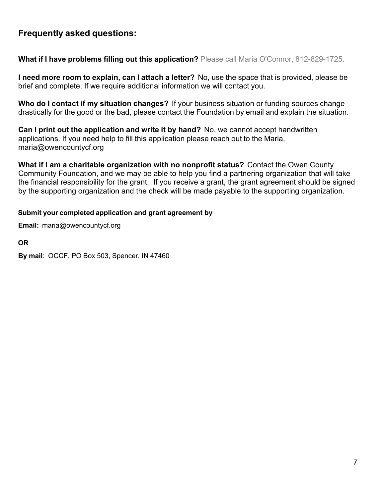### **Frequently asked questions:**

**What if I have problems filling out this application?** Please call Maria O'Connor, 812-829-1725.

**I need more room to explain, can I attach a letter?** No, use the space that is provided, please be brief and complete. If we require additional information we will contact you.

**Who do I contact if my situation changes?** If your business situation or funding sources change drastically for the good or the bad, please contact the Foundation by email and explain the situation.

**Can I print out the application and write it by hand?** No, we cannot accept handwritten applications. If you need help to fill this application please reach out to the Maria, [maria@owencountycf.org](mailto:maria@owencountycf.org)

**What if I am a charitable organization with no nonprofit status?** Contact the Owen County Community Foundation, and we may be able to help you find a partnering organization that will take the financial responsibility for the grant. If you receive a grant, the grant agreement should be signed by the supporting organization and the check will be made payable to the supporting organization.

#### **Submit your completed application and grant agreement by**

**Email:** [maria@owencountycf.org](mailto:maria@owencountycf.org)

**OR** 

**By mail**: OCCF, PO Box 503, Spencer, IN 47460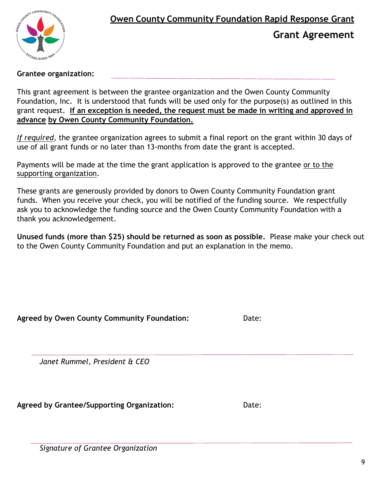

**Grant Agreement**

#### **Grantee organization:**

This grant agreement is between the grantee organization and the Owen County Community Foundation, Inc. It is understood that funds will be used only for the purpose(s) as outlined in this grant request. **If an exception is needed, the request must be made in writing and approved in advance by Owen County Community Foundation.**

*If required*, the grantee organization agrees to submit a final report on the grant within 30 days of use of all grant funds or no later than 13-months from date the grant is accepted.

Payments will be made at the time the grant application is approved to the grantee or to the supporting organization.

These grants are generously provided by donors to Owen County Community Foundation grant funds. When you receive your check, you will be notified of the funding source. We respectfully ask you to acknowledge the funding source and the Owen County Community Foundation with a thank you acknowledgement.

**Unused funds (more than \$25) should be returned as soon as possible.** Please make your check out to the Owen County Community Foundation and put an explanation in the memo.

| Agreed by Owen County Community Foundation: | Date: |
|---------------------------------------------|-------|
| Janet Rummel, President & CEO               |       |
| Agreed by Grantee/Supporting Organization:  | Date: |

*Signature of Grantee Organization*